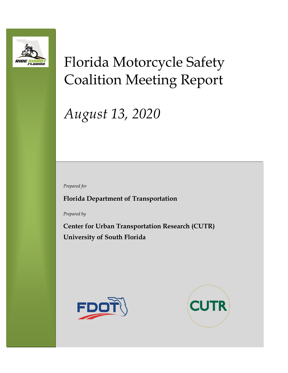

# Florida Motorcycle Safety Coalition Meeting Report

# *August 13, 2020*

*Prepared for*

**Florida Department of Transportation**

*Prepared by*

**Center for Urban Transportation Research (CUTR) University of South Florida**



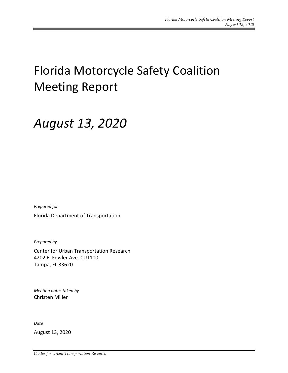## Florida Motorcycle Safety Coalition Meeting Report

## *August 13, 2020*

*Prepared for*

Florida Department of Transportation

*Prepared by*

Center for Urban Transportation Research 4202 E. Fowler Ave. CUT100 Tampa, FL 33620

*Meeting notes taken by* Christen Miller

*Date*

August 13, 2020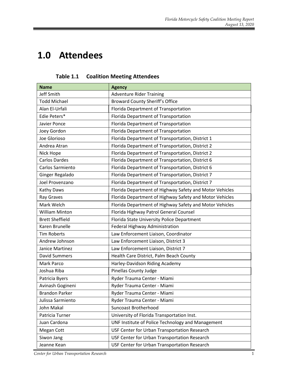### **1.0 Attendees**

| <b>Name</b>            | <b>Agency</b>                                           |  |
|------------------------|---------------------------------------------------------|--|
| Jeff Smith             | <b>Adventure Rider Training</b>                         |  |
| <b>Todd Michael</b>    | <b>Broward County Sheriff's Office</b>                  |  |
| Alan El-Urfali         | Florida Department of Transportation                    |  |
| Edie Peters*           | Florida Department of Transportation                    |  |
| Javier Ponce           | Florida Department of Transportation                    |  |
| Joey Gordon            | Florida Department of Transportation                    |  |
| Joe Glorioso           | Florida Department of Transportation, District 1        |  |
| Andrea Atran           | Florida Department of Transportation, District 2        |  |
| Nick Hope              | Florida Department of Transportation, District 2        |  |
| <b>Carlos Dardes</b>   | Florida Department of Transportation, District 6        |  |
| Carlos Sarmiento       | Florida Department of Transportation, District 6        |  |
| Ginger Regalado        | Florida Department of Transportation, District 7        |  |
| Joel Provenzano        | Florida Department of Transportation, District 7        |  |
| Kathy Daws             | Florida Department of Highway Safety and Motor Vehicles |  |
| Ray Graves             | Florida Department of Highway Safety and Motor Vehicles |  |
| Mark Welch             | Florida Department of Highway Safety and Motor Vehicles |  |
| <b>William Minton</b>  | Florida Highway Patrol General Counsel                  |  |
| <b>Brett Sheffield</b> | Florida State University Police Department              |  |
| Karen Brunelle         | Federal Highway Administration                          |  |
| <b>Tim Roberts</b>     | Law Enforcement Liaison, Coordinator                    |  |
| Andrew Johnson         | Law Enforcement Liaison, District 3                     |  |
| Janice Martinez        | Law Enforcement Liaison, District 7                     |  |
| <b>David Summers</b>   | Health Care District, Palm Beach County                 |  |
| Mark Parco             | Harley-Davidson Riding Academy                          |  |
| Joshua Riba            | <b>Pinellas County Judge</b>                            |  |
| Patricia Byers         | Ryder Trauma Center - Miami                             |  |
| Avinash Gogineni       | Ryder Trauma Center - Miami                             |  |
| <b>Brandon Parker</b>  | Ryder Trauma Center - Miami                             |  |
| Julissa Sarmiento      | Ryder Trauma Center - Miami                             |  |
| John Makal             | <b>Suncoast Brotherhood</b>                             |  |
| Patricia Turner        | University of Florida Transportation Inst.              |  |
| Juan Cardona           | UNF Institute of Police Technology and Management       |  |
| Megan Cott             | USF Center for Urban Transportation Research            |  |
| Siwon Jang             | USF Center for Urban Transportation Research            |  |
| Jeanne Kean            | USF Center for Urban Transportation Research            |  |

**Table 1.1 Coalition Meeting Attendees**

*Center for Urban Transportation Research* 1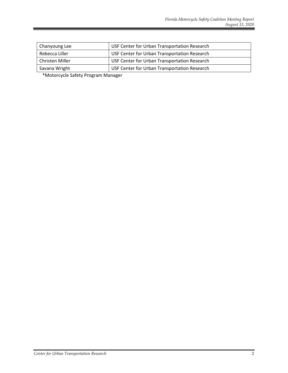| Chanyoung Lee   | USF Center for Urban Transportation Research |
|-----------------|----------------------------------------------|
| Rebecca Liller  | USF Center for Urban Transportation Research |
| Christen Miller | USF Center for Urban Transportation Research |
| Savana Wright   | USF Center for Urban Transportation Research |

\*Motorcycle Safety Program Manager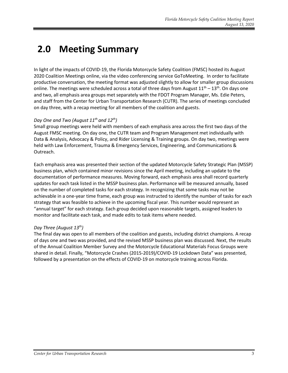### **2.0 Meeting Summary**

In light of the impacts of COVID-19, the Florida Motorcycle Safety Coalition (FMSC) hosted its August 2020 Coalition Meetings online, via the video conferencing service GoToMeeting. In order to facilitate productive conversation, the meeting format was adjusted slightly to allow for smaller group discussions online. The meetings were scheduled across a total of three days from August  $11^{\text{th}} - 13^{\text{th}}$ . On days one and two, all emphasis area groups met separately with the FDOT Program Manager, Ms. Edie Peters, and staff from the Center for Urban Transportation Research (CUTR). The series of meetings concluded on day three, with a recap meeting for all members of the coalition and guests.

#### *Day One and Two (August 11th and 12th)*

Small group meetings were held with members of each emphasis area across the first two days of the August FMSC meeting. On day one, the CUTR team and Program Management met individually with Data & Analysis, Advocacy & Policy, and Rider Licensing & Training groups. On day two, meetings were held with Law Enforcement, Trauma & Emergency Services, Engineering, and Communications & Outreach.

Each emphasis area was presented their section of the updated Motorcycle Safety Strategic Plan (MSSP) business plan, which contained minor revisions since the April meeting, including an update to the documentation of performance measures. Moving forward, each emphasis area shall record quarterly updates for each task listed in the MSSP business plan. Performance will be measured annually, based on the number of completed tasks for each strategy. In recognizing that some tasks may not be achievable in a one-year time frame, each group was instructed to identify the number of tasks for each strategy that was feasible to achieve in the upcoming fiscal year. This number would represent an "annual target" for each strategy. Each group decided upon reasonable targets, assigned leaders to monitor and facilitate each task, and made edits to task items where needed.

#### *Day Three (August 13th)*

The final day was open to all members of the coalition and guests, including district champions. A recap of days one and two was provided, and the revised MSSP business plan was discussed. Next, the results of the Annual Coalition Member Survey and the Motorcycle Educational Materials Focus Groups were shared in detail. Finally, "Motorcycle Crashes (2015-2019)/COVID-19 Lockdown Data" was presented, followed by a presentation on the effects of COVID-19 on motorcycle training across Florida.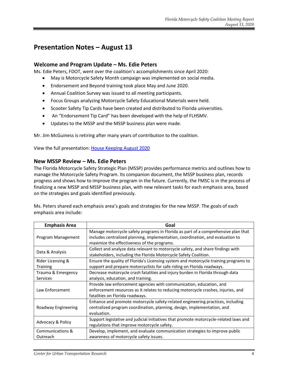#### **Presentation Notes – August 13**

#### **Welcome and Program Update – Ms. Edie Peters**

Ms. Edie Peters, FDOT, went over the coalition's accomplishments since April 2020:

- May is Motorcycle Safety Month campaign was implemented on social media.
- Endorsement and Beyond training took place May and June 2020.
- Annual Coalition Survey was issued to all meeting participants.
- Focus Groups analyzing Motorcycle Safety Educational Materials were held.
- Scooter Safety Tip Cards have been created and distributed to Florida universities.
- An "Endorsement Tip Card" has been developed with the help of FLHSMV.
- Updates to the MSSP and the MSSP business plan were made.

Mr. Jim McGuiness is retiring after many years of contribution to the coalition.

View the full presentation: [House Keeping August 2020](https://ridesmartflorida.com/archives/sdm_downloads/housekeeping-august-2020)

#### **New MSSP Review – Ms. Edie Peters**

The Florida Motorcycle Safety Strategic Plan (MSSP) provides performance metrics and outlines how to manage the Motorcycle Safety Program. Its companion document, the MSSP business plan, records progress and shows how to improve the program in the future. Currently, the FMSC is in the process of finalizing a new MSSP and MSSP business plan, with new relevant tasks for each emphasis area, based on the strategies and goals identified previously.

Ms. Peters shared each emphasis area's goals and strategies for the new MSSP. The goals of each emphasis area include:

| <b>Emphasis Area</b> | Goal                                                                                                                          |  |  |
|----------------------|-------------------------------------------------------------------------------------------------------------------------------|--|--|
|                      | Manage motorcycle safety programs in Florida as part of a comprehensive plan that                                             |  |  |
| Program Management   | includes centralized planning, implementation, coordination, and evaluation to<br>maximize the effectiveness of the programs. |  |  |
| Data & Analysis      | Collect and analyze data relevant to motorcycle safety, and share findings with                                               |  |  |
|                      | stakeholders, including the Florida Motorcycle Safety Coalition.                                                              |  |  |
| Rider Licensing &    | Ensure the quality of Florida's Licensing system and motorcycle training programs to                                          |  |  |
| <b>Training</b>      | support and prepare motorcyclists for safe riding on Florida roadways.                                                        |  |  |
| Trauma & Emergency   | Decrease motorcycle crash fatalities and injury burden in Florida through data                                                |  |  |
| <b>Services</b>      | analysis, education, and training.                                                                                            |  |  |
|                      | Provide law enforcement agencies with communication, education, and                                                           |  |  |
| Law Enforcement      | enforcement resources as it relates to reducing motorcycle crashes, injuries, and                                             |  |  |
|                      | fatalities on Florida roadways.                                                                                               |  |  |
| Roadway Engineering  | Enhance and promote motorcycle safety-related engineering practices, including                                                |  |  |
|                      | centralized program coordination, planning, design, implementation, and                                                       |  |  |
|                      | evaluation.                                                                                                                   |  |  |
| Advocacy & Policy    | Support legislative and judicial initiatives that promote motorcycle-related laws and                                         |  |  |
|                      | regulations that improve motorcycle safety.                                                                                   |  |  |
| Communications &     | Develop, implement, and evaluate communication strategies to improve public                                                   |  |  |
| Outreach             | awareness of motorcycle safety issues.                                                                                        |  |  |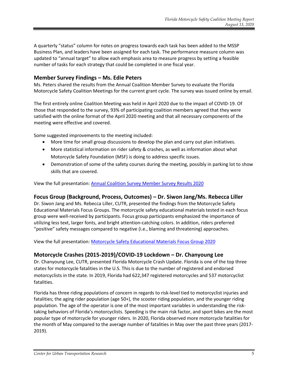A quarterly "status" column for notes on progress towards each task has been added to the MSSP Business Plan, and leaders have been assigned for each task. The performance measure column was updated to "annual target" to allow each emphasis area to measure progress by setting a feasible number of tasks for each strategy that could be completed in one fiscal year.

#### **Member Survey Findings – Ms. Edie Peters**

Ms. Peters shared the results from the Annual Coalition Member Survey to evaluate the Florida Motorcycle Safety Coalition Meetings for the current grant cycle. The survey was issued online by email.

The first entirely online Coalition Meeting was held in April 2020 due to the impact of COVID-19. Of those that responded to the survey, 93% of participating coalition members agreed that they were satisfied with the online format of the April 2020 meeting and that all necessary components of the meeting were effective and covered.

Some suggested improvements to the meeting included:

- More time for small group discussions to develop the plan and carry out plan initiatives.
- More statistical information on rider safety & crashes, as well as information about what Motorcycle Safety Foundation (MSF) is doing to address specific issues.
- Demonstration of some of the safety courses during the meeting, possibly in parking lot to show skills that are covered.

View the full presentation[: Annual Coalition Survey Member](https://ridesmartflorida.com/archives/sdm_downloads/coalition-survey-results-2020) Survey Results 2020

#### **Focus Group (Background, Process, Outcomes) – Dr. Siwon Jang/Ms. Rebecca Liller**

Dr. Siwon Jang and Ms. Rebecca Liller, CUTR, presented the findings from the Motorcycle Safety Educational Materials Focus Groups. The motorcycle safety educational materials tested in each focus group were well-received by participants. Focus group participants emphasized the importance of utilizing less text, larger fonts, and bright attention-catching colors. In addition, riders preferred "positive" safety messages compared to negative (i.e., blaming and threatening) approaches.

View the full presentation[: Motorcycle Safety Educational Materials](https://ridesmartflorida.com/archives/sdm_downloads/focus-group-august-2020) Focus Group 2020

#### **Motorcycle Crashes (2015-2019)/COVID-19 Lockdown – Dr. Chanyoung Lee**

Dr. Chanyoung Lee, CUTR, presented Florida Motorcycle Crash Update. Florida is one of the top three states for motorcycle fatalities in the U.S. This is due to the number of registered and endorsed motorcyclists in the state. In 2019, Florida had 622,347 registered motorcycles and 537 motorcyclist fatalities.

Florida has three riding populations of concern in regards to risk-level tied to motorcyclist injuries and fatalities; the aging rider population (age 50+), the scooter riding population, and the younger riding population. The age of the operator is one of the most important variables in understanding the risktaking behaviors of Florida's motorcyclists. Speeding is the main risk factor, and sport bikes are the most popular type of motorcycle for younger riders. In 2020, Florida observed more motorcycle fatalities for the month of May compared to the average number of fatalities in May over the past three years (2017- 2019).